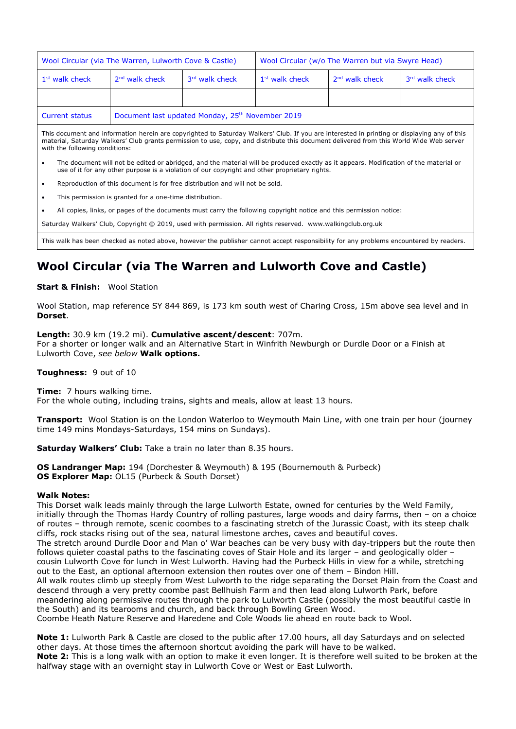| Wool Circular (via The Warren, Lulworth Cove & Castle)                                                                                      |                                                              |                | Wool Circular (w/o The Warren but via Swyre Head) |                            |                |
|---------------------------------------------------------------------------------------------------------------------------------------------|--------------------------------------------------------------|----------------|---------------------------------------------------|----------------------------|----------------|
| 1 <sup>st</sup> walk check                                                                                                                  | $2nd$ walk check                                             | 3rd walk check | 1 <sup>st</sup> walk check                        | 2 <sup>nd</sup> walk check | 3rd walk check |
|                                                                                                                                             |                                                              |                |                                                   |                            |                |
| <b>Current status</b>                                                                                                                       | Document last updated Monday, 25 <sup>th</sup> November 2019 |                |                                                   |                            |                |
| This document and information herein are copyrighted to Saturday Walkers' Club. If you are interested in printing or displaying any of this |                                                              |                |                                                   |                            |                |

material, Saturday Walkers' Club grants permission to use, copy, and distribute this document delivered from this World Wide Web server with the following conditions:

- The document will not be edited or abridged, and the material will be produced exactly as it appears. Modification of the material or use of it for any other purpose is a violation of our copyright and other proprietary rights.
- Reproduction of this document is for free distribution and will not be sold.
- This permission is granted for a one-time distribution.
- All copies, links, or pages of the documents must carry the following copyright notice and this permission notice:

Saturday Walkers' Club, Copyright © 2019, used with permission. All rights reserved. www.walkingclub.org.uk

This walk has been checked as noted above, however the publisher cannot accept responsibility for any problems encountered by readers.

# **Wool Circular (via The Warren and Lulworth Cove and Castle)**

#### **Start & Finish:** Wool Station

Wool Station, map reference SY 844 869, is 173 km south west of Charing Cross, 15m above sea level and in **Dorset**.

**Length:** 30.9 km (19.2 mi). **Cumulative ascent/descent**: 707m. For a shorter or longer walk and an Alternative Start in Winfrith Newburgh or Durdle Door or a Finish at Lulworth Cove, *see below* **Walk options.**

**Toughness:** 9 out of 10

**Time:** 7 hours walking time.

For the whole outing, including trains, sights and meals, allow at least 13 hours.

**Transport:** Wool Station is on the London Waterloo to Weymouth Main Line, with one train per hour (journey time 149 mins Mondays-Saturdays, 154 mins on Sundays).

**Saturday Walkers' Club:** Take a train no later than 8.35 hours.

**OS Landranger Map:** 194 (Dorchester & Weymouth) & 195 (Bournemouth & Purbeck) **OS Explorer Map:** OL15 (Purbeck & South Dorset)

#### **Walk Notes:**

This Dorset walk leads mainly through the large Lulworth Estate, owned for centuries by the Weld Family, initially through the Thomas Hardy Country of rolling pastures, large woods and dairy farms, then – on a choice of routes – through remote, scenic coombes to a fascinating stretch of the Jurassic Coast, with its steep chalk cliffs, rock stacks rising out of the sea, natural limestone arches, caves and beautiful coves. The stretch around Durdle Door and Man o' War beaches can be very busy with day-trippers but the route then follows quieter coastal paths to the fascinating coves of Stair Hole and its larger – and geologically older – cousin Lulworth Cove for lunch in West Lulworth. Having had the Purbeck Hills in view for a while, stretching out to the East, an optional afternoon extension then routes over one of them – Bindon Hill. All walk routes climb up steeply from West Lulworth to the ridge separating the Dorset Plain from the Coast and descend through a very pretty coombe past Bellhuish Farm and then lead along Lulworth Park, before meandering along permissive routes through the park to Lulworth Castle (possibly the most beautiful castle in the South) and its tearooms and church, and back through Bowling Green Wood. Coombe Heath Nature Reserve and Haredene and Cole Woods lie ahead en route back to Wool.

**Note 1:** Lulworth Park & Castle are closed to the public after 17.00 hours, all day Saturdays and on selected other days. At those times the afternoon shortcut avoiding the park will have to be walked. **Note 2:** This is a long walk with an option to make it even longer. It is therefore well suited to be broken at the halfway stage with an overnight stay in Lulworth Cove or West or East Lulworth.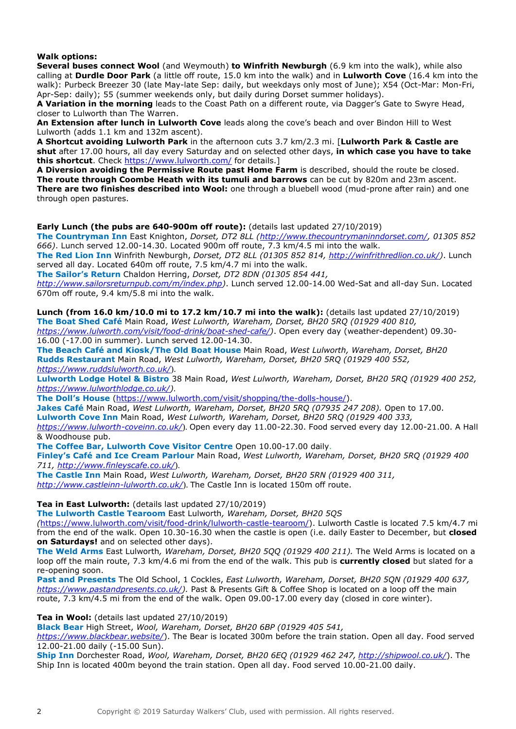### **Walk options:**

**Several buses connect Wool** (and Weymouth) **to Winfrith Newburgh** (6.9 km into the walk), while also calling at **Durdle Door Park** (a little off route, 15.0 km into the walk) and in **Lulworth Cove** (16.4 km into the walk): Purbeck Breezer 30 (late May-late Sep: daily, but weekdays only most of June); X54 (Oct-Mar: Mon-Fri, Apr-Sep: daily); 55 (summer weekends only, but daily during Dorset summer holidays).

**A Variation in the morning** leads to the Coast Path on a different route, via Dagger's Gate to Swyre Head, closer to Lulworth than The Warren.

**An Extension after lunch in Lulworth Cove** leads along the cove's beach and over Bindon Hill to West Lulworth (adds 1.1 km and 132m ascent).

**A Shortcut avoiding Lulworth Park** in the afternoon cuts 3.7 km/2.3 mi. [**Lulworth Park & Castle are shut** after 17.00 hours, all day every Saturday and on selected other days, **in which case you have to take this shortcut**. Check<https://www.lulworth.com/> for details.]

**A Diversion avoiding the Permissive Route past Home Farm** is described, should the route be closed. **The route through Coombe Heath with its tumuli and barrows** can be cut by 820m and 23m ascent. **There are two finishes described into Wool:** one through a bluebell wood (mud-prone after rain) and one through open pastures.

### **Early Lunch (the pubs are 640-900m off route):** (details last updated 27/10/2019)

**The Countryman Inn** East Knighton, *Dorset, DT2 8LL [\(http://www.thecountrymaninndorset.com/,](http://www.thecountrymaninndorset.com/) 01305 852 666)*. Lunch served 12.00-14.30. Located 900m off route, 7.3 km/4.5 mi into the walk.

**The Red Lion Inn** Winfrith Newburgh, *Dorset, DT2 8LL (01305 852 814, [http://winfrithredlion.co.uk/\)](http://winfrithredlion.co.uk/)*. Lunch served all day. Located 640m off route, 7.5 km/4.7 mi into the walk.

**The Sailor's Return** Chaldon Herring, *Dorset, DT2 8DN (01305 854 441,* 

*[http://www.sailorsreturnpub.com/m/index.php\)](http://www.sailorsreturnpub.com/m/index.php)*. Lunch served 12.00-14.00 Wed-Sat and all-day Sun. Located 670m off route, 9.4 km/5.8 mi into the walk.

**Lunch (from 16.0 km/10.0 mi to 17.2 km/10.7 mi into the walk):** (details last updated 27/10/2019) **The Boat Shed Café** Main Road, *West Lulworth, Wareham, Dorset, BH20 5RQ (01929 400 810,* 

*[https://www.lulworth.com/visit/food-drink/boat-shed-cafe/\)](https://www.lulworth.com/visit/food-drink/boat-shed-cafe/)*. Open every day (weather-dependent) 09.30- 16.00 (-17.00 in summer). Lunch served 12.00-14.30.

**The Beach Café and Kiosk/The Old Boat House** Main Road, *West Lulworth, Wareham, Dorset, BH20*  **Rudds Restaurant** Main Road, *West Lulworth, Wareham, Dorset, BH20 5RQ (01929 400 552, <https://www.ruddslulworth.co.uk/>*).

**Lulworth Lodge Hotel & Bistro** 38 Main Road, *West Lulworth, Wareham, Dorset, BH20 5RQ (01929 400 252, [https://www.lulworthlodge.co.uk/\)](https://www.lulworthlodge.co.uk/)*.

**The Doll's House** [\(https://www.lulworth.com/visit/shopping/the-dolls-house/\)](https://www.lulworth.com/visit/shopping/the-dolls-house/).

**Jakes Café** Main Road, *West Lulworth, Wareham, Dorset, BH20 5RQ (07935 247 208).* Open to 17.00.

**Lulworth Cove Inn** Main Road, *West Lulworth, Wareham, Dorset, BH20 5RQ (01929 400 333,*

*<https://www.lulworth-coveinn.co.uk/>*). Open every day 11.00-22.30. Food served every day 12.00-21.00. A Hall & Woodhouse pub.

**The Coffee Bar, Lulworth Cove Visitor Centre** Open 10.00-17.00 daily.

**Finley's Café and Ice Cream Parlour** Main Road, *West Lulworth, Wareham, Dorset, BH20 5RQ (01929 400 711, <http://www.finleyscafe.co.uk/>*).

**The Castle Inn** Main Road, *West Lulworth, Wareham, Dorset, BH20 5RN (01929 400 311, <http://www.castleinn-lulworth.co.uk/>*). The Castle Inn is located 150m off route.

**Tea in East Lulworth:** (details last updated 27/10/2019)

**The Lulworth Castle Tearoom** East Lulworth*, Wareham, Dorset, BH20 5QS*

*(*[https://www.lulworth.com/visit/food-drink/lulworth-castle-tearoom/\)](https://www.lulworth.com/visit/food-drink/lulworth-castle-tearoom/). Lulworth Castle is located 7.5 km/4.7 mi from the end of the walk. Open 10.30-16.30 when the castle is open (i.e. daily Easter to December, but **closed on Saturdays!** and on selected other days).

**The Weld Arms** East Lulworth*, Wareham, Dorset, BH20 5QQ (01929 400 211).* The Weld Arms is located on a loop off the main route, 7.3 km/4.6 mi from the end of the walk. This pub is **currently closed** but slated for a re-opening soon.

**Past and Presents** The Old School, 1 Cockles, *East Lulworth, Wareham, Dorset, BH20 5QN (01929 400 637, [https://www.pastandpresents.co.uk/\)](https://www.pastandpresents.co.uk/).* Past & Presents Gift & Coffee Shop is located on a loop off the main route, 7.3 km/4.5 mi from the end of the walk. Open 09.00-17.00 every day (closed in core winter).

#### **Tea in Wool:** (details last updated 27/10/2019)

**Black Bear** High Street, *Wool, Wareham, Dorset, BH20 6BP (01929 405 541,* 

*<https://www.blackbear.website/>*). The Bear is located 300m before the train station. Open all day. Food served 12.00-21.00 daily (-15.00 Sun).

**Ship Inn** Dorchester Road, *Wool, Wareham, Dorset, BH20 6EQ (01929 462 247, <http://shipwool.co.uk/>*). The Ship Inn is located 400m beyond the train station. Open all day. Food served 10.00-21.00 daily.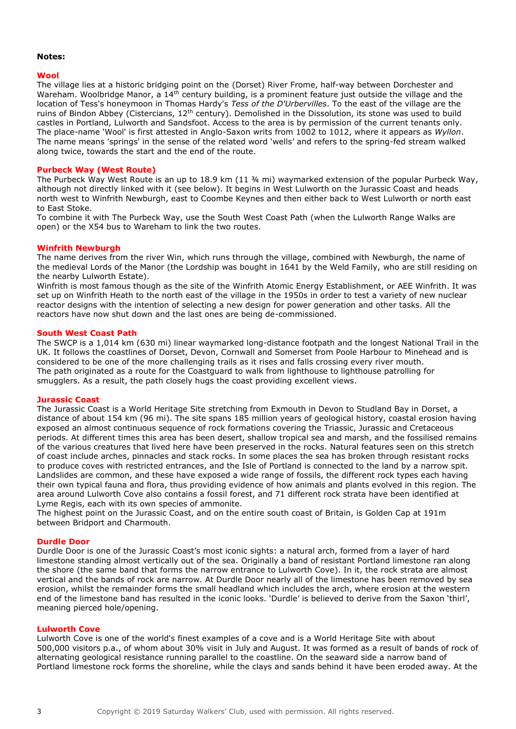#### **Notes:**

#### **Wool**

The village lies at a historic bridging point on the (Dorset) River Frome, half-way between Dorchester and Wareham. Woolbridge Manor, a 14<sup>th</sup> century building, is a prominent feature just outside the village and the location of Tess's honeymoon in Thomas Hardy's *Tess of the D'Urbervilles*. To the east of the village are the ruins of Bindon Abbey (Cistercians, 12th century). Demolished in the Dissolution, its stone was used to build castles in Portland, Lulworth and Sandsfoot. Access to the area is by permission of the current tenants only. The place-name 'Wool' is first attested in Anglo-Saxon writs from 1002 to 1012, where it appears as *Wyllon*. The name means 'springs' in the sense of the related word 'wells' and refers to the spring-fed stream walked along twice, towards the start and the end of the route.

#### **Purbeck Way (West Route)**

The Purbeck Way West Route is an up to 18.9 km (11 ¾ mi) waymarked extension of the popular Purbeck Way, although not directly linked with it (see below). It begins in West Lulworth on the Jurassic Coast and heads north west to Winfrith Newburgh, east to Coombe Keynes and then either back to West Lulworth or north east to East Stoke.

To combine it with The Purbeck Way, use the South West Coast Path (when the Lulworth Range Walks are open) or the X54 bus to Wareham to link the two routes.

#### **Winfrith Newburgh**

The name derives from the river Win, which runs through the village, combined with Newburgh, the name of the medieval Lords of the Manor (the Lordship was bought in 1641 by the Weld Family, who are still residing on the nearby Lulworth Estate).

Winfrith is most famous though as the site of the Winfrith Atomic Energy Establishment, or AEE Winfrith. It was set up on Winfrith Heath to the north east of the village in the 1950s in order to test a variety of new nuclear reactor designs with the intention of selecting a new design for power generation and other tasks. All the reactors have now shut down and the last ones are being de-commissioned.

#### **South West Coast Path**

The SWCP is a 1,014 km (630 mi) linear waymarked long-distance footpath and the longest National Trail in the UK. It follows the coastlines of Dorset, Devon, Cornwall and Somerset from Poole Harbour to Minehead and is considered to be one of the more challenging trails as it rises and falls crossing every river mouth. The path originated as a route for the Coastguard to walk from lighthouse to lighthouse patrolling for smugglers. As a result, the path closely hugs the coast providing excellent views.

#### **Jurassic Coast**

The Jurassic Coast is a World Heritage Site stretching from Exmouth in Devon to Studland Bay in Dorset, a distance of about 154 km (96 mi). The site spans 185 million years of geological history, coastal erosion having exposed an almost continuous sequence of rock formations covering the Triassic, Jurassic and Cretaceous periods. At different times this area has been desert, shallow tropical sea and marsh, and the fossilised remains of the various creatures that lived here have been preserved in the rocks. Natural features seen on this stretch of coast include arches, pinnacles and stack rocks. In some places the sea has broken through resistant rocks to produce coves with restricted entrances, and the Isle of Portland is connected to the land by a narrow spit. Landslides are common, and these have exposed a wide range of fossils, the different rock types each having their own typical fauna and flora, thus providing evidence of how animals and plants evolved in this region. The area around Lulworth Cove also contains a fossil forest, and 71 different rock strata have been identified at Lyme Regis, each with its own species of ammonite.

The highest point on the Jurassic Coast, and on the entire south coast of Britain, is Golden Cap at 191m between Bridport and Charmouth.

#### **Durdle Door**

Durdle Door is one of the Jurassic Coast's most iconic sights: a natural arch, formed from a layer of hard limestone standing almost vertically out of the sea. Originally a band of resistant Portland limestone ran along the shore (the same band that forms the narrow entrance to Lulworth Cove). In it, the rock strata are almost vertical and the bands of rock are narrow. At Durdle Door nearly all of the limestone has been removed by sea erosion, whilst the remainder forms the small headland which includes the arch, where erosion at the western end of the limestone band has resulted in the iconic looks. 'Durdle' is believed to derive from the Saxon 'thirl', meaning pierced hole/opening.

#### **Lulworth Cove**

Lulworth Cove is one of the world's finest examples of a cove and is a World Heritage Site with about 500,000 visitors p.a., of whom about 30% visit in July and August. It was formed as a result of bands of rock of alternating geological resistance running parallel to the coastline. On the seaward side a narrow band of Portland limestone rock forms the shoreline, while the clays and sands behind it have been eroded away. At the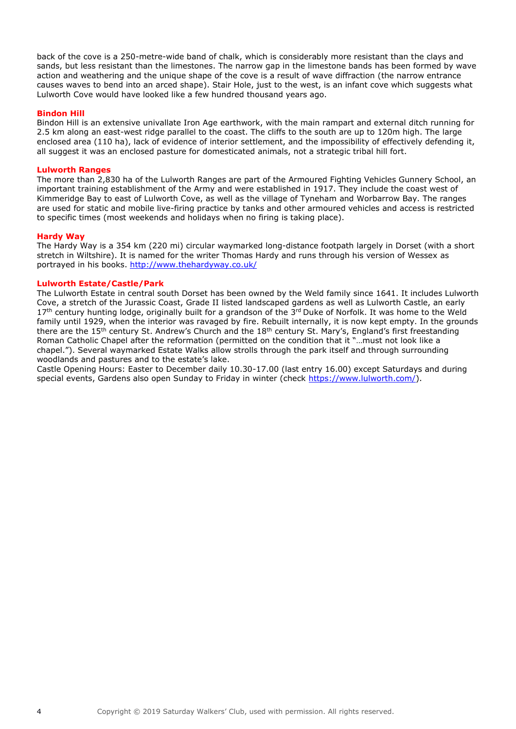back of the cove is a 250-metre-wide band of chalk, which is considerably more resistant than the clays and sands, but less resistant than the limestones. The narrow gap in the limestone bands has been formed by wave action and weathering and the unique shape of the cove is a result of wave diffraction (the narrow entrance causes waves to bend into an arced shape). Stair Hole, just to the west, is an infant cove which suggests what Lulworth Cove would have looked like a few hundred thousand years ago.

#### **Bindon Hill**

Bindon Hill is an extensive univallate Iron Age earthwork, with the main rampart and external ditch running for 2.5 km along an east-west ridge parallel to the coast. The cliffs to the south are up to 120m high. The large enclosed area (110 ha), lack of evidence of interior settlement, and the impossibility of effectively defending it, all suggest it was an enclosed pasture for domesticated animals, not a strategic tribal hill fort.

#### **Lulworth Ranges**

The more than 2,830 ha of the Lulworth Ranges are part of the Armoured Fighting Vehicles Gunnery School, an important training establishment of the Army and were established in 1917. They include the coast west of Kimmeridge Bay to east of Lulworth Cove, as well as the village of Tyneham and Worbarrow Bay. The ranges are used for static and mobile live-firing practice by tanks and other armoured vehicles and access is restricted to specific times (most weekends and holidays when no firing is taking place).

#### **Hardy Way**

The Hardy Way is a 354 km (220 mi) circular waymarked long-distance footpath largely in Dorset (with a short stretch in Wiltshire). It is named for the writer Thomas Hardy and runs through his version of Wessex as portrayed in his books.<http://www.thehardyway.co.uk/>

#### **Lulworth Estate/Castle/Park**

The Lulworth Estate in central south Dorset has been owned by the Weld family since 1641. It includes Lulworth Cove, a stretch of the Jurassic Coast, Grade II listed landscaped gardens as well as Lulworth Castle, an early 17<sup>th</sup> century hunting lodge, originally built for a grandson of the 3<sup>rd</sup> Duke of Norfolk. It was home to the Weld family until 1929, when the interior was ravaged by fire. Rebuilt internally, it is now kept empty. In the grounds there are the 15<sup>th</sup> century St. Andrew's Church and the 18<sup>th</sup> century St. Mary's, England's first freestanding Roman Catholic Chapel after the reformation (permitted on the condition that it "…must not look like a chapel."). Several waymarked Estate Walks allow strolls through the park itself and through surrounding woodlands and pastures and to the estate's lake.

Castle Opening Hours: Easter to December daily 10.30-17.00 (last entry 16.00) except Saturdays and during special events, Gardens also open Sunday to Friday in winter (check [https://www.lulworth.com/\)](https://www.lulworth.com/).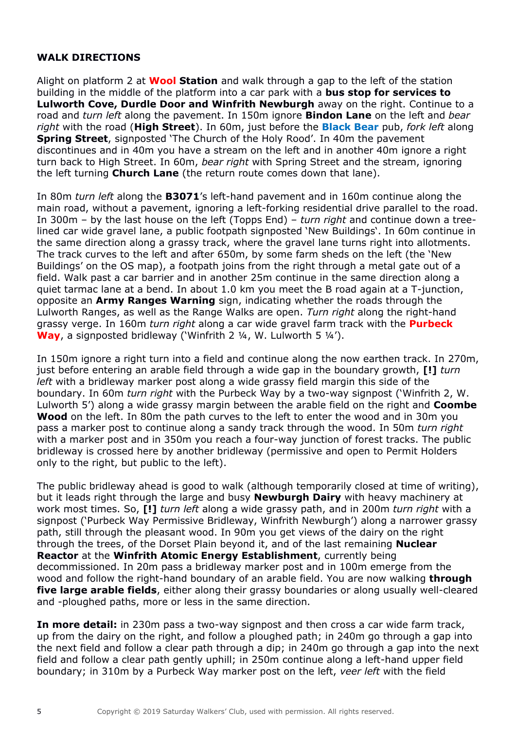### **WALK DIRECTIONS**

Alight on platform 2 at **Wool Station** and walk through a gap to the left of the station building in the middle of the platform into a car park with a **bus stop for services to Lulworth Cove, Durdle Door and Winfrith Newburgh** away on the right. Continue to a road and *turn left* along the pavement. In 150m ignore **Bindon Lane** on the left and *bear right* with the road (**High Street**). In 60m, just before the **Black Bear** pub, *fork left* along **Spring Street**, signposted 'The Church of the Holy Rood'. In 40m the pavement discontinues and in 40m you have a stream on the left and in another 40m ignore a right turn back to High Street. In 60m, *bear right* with Spring Street and the stream, ignoring the left turning **Church Lane** (the return route comes down that lane).

In 80m *turn left* along the **B3071**'s left-hand pavement and in 160m continue along the main road, without a pavement, ignoring a left-forking residential drive parallel to the road. In 300m – by the last house on the left (Topps End) – *turn right* and continue down a treelined car wide gravel lane, a public footpath signposted 'New Buildings'. In 60m continue in the same direction along a grassy track, where the gravel lane turns right into allotments. The track curves to the left and after 650m, by some farm sheds on the left (the 'New Buildings' on the OS map), a footpath joins from the right through a metal gate out of a field. Walk past a car barrier and in another 25m continue in the same direction along a quiet tarmac lane at a bend. In about 1.0 km you meet the B road again at a T-junction, opposite an **Army Ranges Warning** sign, indicating whether the roads through the Lulworth Ranges, as well as the Range Walks are open. *Turn right* along the right-hand grassy verge. In 160m *turn right* along a car wide gravel farm track with the **Purbeck Way**, a signposted bridleway ('Winfrith 2 ¼, W. Lulworth 5 ¼').

In 150m ignore a right turn into a field and continue along the now earthen track. In 270m, just before entering an arable field through a wide gap in the boundary growth, **[!]** *turn left* with a bridleway marker post along a wide grassy field margin this side of the boundary. In 60m *turn right* with the Purbeck Way by a two-way signpost ('Winfrith 2, W. Lulworth 5') along a wide grassy margin between the arable field on the right and **Coombe Wood** on the left. In 80m the path curves to the left to enter the wood and in 30m you pass a marker post to continue along a sandy track through the wood. In 50m *turn right* with a marker post and in 350m you reach a four-way junction of forest tracks. The public bridleway is crossed here by another bridleway (permissive and open to Permit Holders only to the right, but public to the left).

The public bridleway ahead is good to walk (although temporarily closed at time of writing), but it leads right through the large and busy **Newburgh Dairy** with heavy machinery at work most times. So, **[!]** *turn left* along a wide grassy path, and in 200m *turn right* with a signpost ('Purbeck Way Permissive Bridleway, Winfrith Newburgh') along a narrower grassy path, still through the pleasant wood. In 90m you get views of the dairy on the right through the trees, of the Dorset Plain beyond it, and of the last remaining **Nuclear Reactor** at the **Winfrith Atomic Energy Establishment**, currently being decommissioned. In 20m pass a bridleway marker post and in 100m emerge from the wood and follow the right-hand boundary of an arable field. You are now walking **through five large arable fields**, either along their grassy boundaries or along usually well-cleared and -ploughed paths, more or less in the same direction.

**In more detail:** in 230m pass a two-way signpost and then cross a car wide farm track, up from the dairy on the right, and follow a ploughed path; in 240m go through a gap into the next field and follow a clear path through a dip; in 240m go through a gap into the next field and follow a clear path gently uphill; in 250m continue along a left-hand upper field boundary; in 310m by a Purbeck Way marker post on the left, *veer left* with the field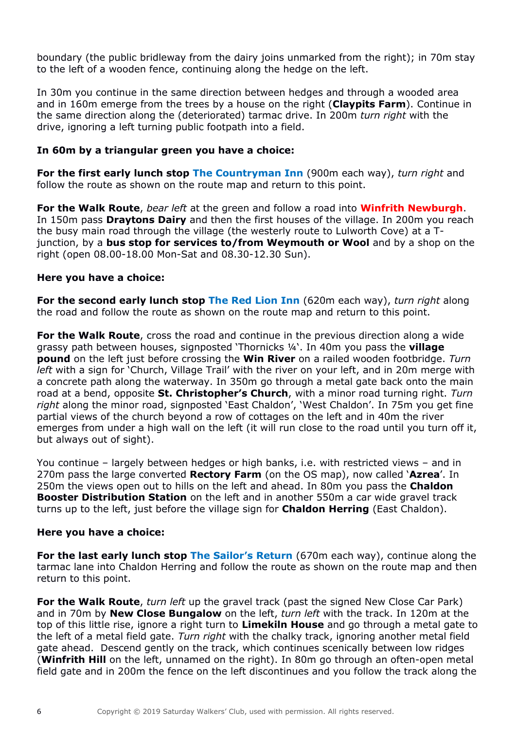boundary (the public bridleway from the dairy joins unmarked from the right); in 70m stay to the left of a wooden fence, continuing along the hedge on the left.

In 30m you continue in the same direction between hedges and through a wooded area and in 160m emerge from the trees by a house on the right (**Claypits Farm**). Continue in the same direction along the (deteriorated) tarmac drive. In 200m *turn right* with the drive, ignoring a left turning public footpath into a field.

### **In 60m by a triangular green you have a choice:**

**For the first early lunch stop The Countryman Inn** (900m each way), *turn right* and follow the route as shown on the route map and return to this point.

**For the Walk Route**, *bear left* at the green and follow a road into **Winfrith Newburgh**. In 150m pass **Draytons Dairy** and then the first houses of the village. In 200m you reach the busy main road through the village (the westerly route to Lulworth Cove) at a Tjunction, by a **bus stop for services to/from Weymouth or Wool** and by a shop on the right (open 08.00-18.00 Mon-Sat and 08.30-12.30 Sun).

### **Here you have a choice:**

**For the second early lunch stop The Red Lion Inn** (620m each way), *turn right* along the road and follow the route as shown on the route map and return to this point.

**For the Walk Route**, cross the road and continue in the previous direction along a wide grassy path between houses, signposted 'Thornicks ¼'. In 40m you pass the **village pound** on the left just before crossing the **Win River** on a railed wooden footbridge. *Turn left* with a sign for 'Church, Village Trail' with the river on your left, and in 20m merge with a concrete path along the waterway. In 350m go through a metal gate back onto the main road at a bend, opposite **St. Christopher's Church**, with a minor road turning right. *Turn right* along the minor road, signposted 'East Chaldon', 'West Chaldon'. In 75m you get fine partial views of the church beyond a row of cottages on the left and in 40m the river emerges from under a high wall on the left (it will run close to the road until you turn off it, but always out of sight).

You continue – largely between hedges or high banks, i.e. with restricted views – and in 270m pass the large converted **Rectory Farm** (on the OS map), now called '**Azrea**'. In 250m the views open out to hills on the left and ahead. In 80m you pass the **Chaldon Booster Distribution Station** on the left and in another 550m a car wide gravel track turns up to the left, just before the village sign for **Chaldon Herring** (East Chaldon).

### **Here you have a choice:**

**For the last early lunch stop The Sailor's Return** (670m each way), continue along the tarmac lane into Chaldon Herring and follow the route as shown on the route map and then return to this point.

**For the Walk Route**, *turn left* up the gravel track (past the signed New Close Car Park) and in 70m by **New Close Bungalow** on the left, *turn left* with the track. In 120m at the top of this little rise, ignore a right turn to **Limekiln House** and go through a metal gate to the left of a metal field gate. *Turn right* with the chalky track, ignoring another metal field gate ahead. Descend gently on the track, which continues scenically between low ridges (**Winfrith Hill** on the left, unnamed on the right). In 80m go through an often-open metal field gate and in 200m the fence on the left discontinues and you follow the track along the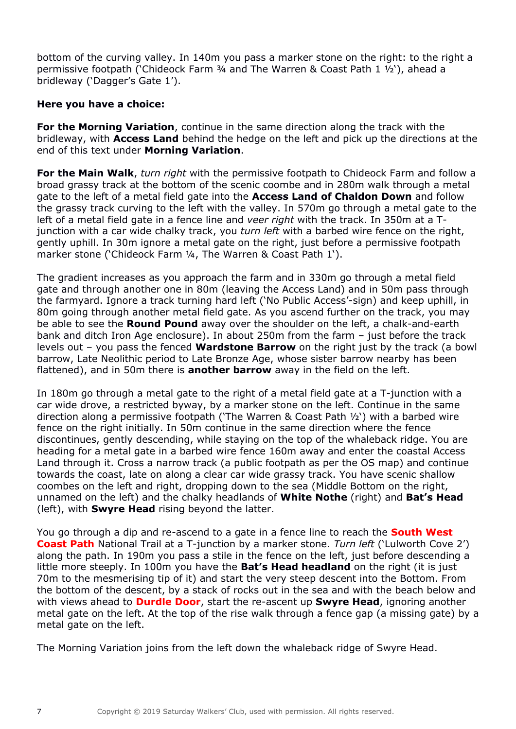bottom of the curving valley. In 140m you pass a marker stone on the right: to the right a permissive footpath ('Chideock Farm ¾ and The Warren & Coast Path 1 ½'), ahead a bridleway ('Dagger's Gate 1').

### **Here you have a choice:**

**For the Morning Variation**, continue in the same direction along the track with the bridleway, with **Access Land** behind the hedge on the left and pick up the directions at the end of this text under **Morning Variation**.

**For the Main Walk**, *turn right* with the permissive footpath to Chideock Farm and follow a broad grassy track at the bottom of the scenic coombe and in 280m walk through a metal gate to the left of a metal field gate into the **Access Land of Chaldon Down** and follow the grassy track curving to the left with the valley. In 570m go through a metal gate to the left of a metal field gate in a fence line and *veer right* with the track. In 350m at a Tjunction with a car wide chalky track, you *turn left* with a barbed wire fence on the right, gently uphill. In 30m ignore a metal gate on the right, just before a permissive footpath marker stone ('Chideock Farm ¼, The Warren & Coast Path 1').

The gradient increases as you approach the farm and in 330m go through a metal field gate and through another one in 80m (leaving the Access Land) and in 50m pass through the farmyard. Ignore a track turning hard left ('No Public Access'-sign) and keep uphill, in 80m going through another metal field gate. As you ascend further on the track, you may be able to see the **Round Pound** away over the shoulder on the left, a chalk-and-earth bank and ditch Iron Age enclosure). In about 250m from the farm – just before the track levels out – you pass the fenced **Wardstone Barrow** on the right just by the track (a bowl barrow, Late Neolithic period to Late Bronze Age, whose sister barrow nearby has been flattened), and in 50m there is **another barrow** away in the field on the left.

In 180m go through a metal gate to the right of a metal field gate at a T-junction with a car wide drove, a restricted byway, by a marker stone on the left. Continue in the same direction along a permissive footpath ('The Warren & Coast Path ½') with a barbed wire fence on the right initially. In 50m continue in the same direction where the fence discontinues, gently descending, while staying on the top of the whaleback ridge. You are heading for a metal gate in a barbed wire fence 160m away and enter the coastal Access Land through it. Cross a narrow track (a public footpath as per the OS map) and continue towards the coast, late on along a clear car wide grassy track. You have scenic shallow coombes on the left and right, dropping down to the sea (Middle Bottom on the right, unnamed on the left) and the chalky headlands of **White Nothe** (right) and **Bat's Head** (left), with **Swyre Head** rising beyond the latter.

You go through a dip and re-ascend to a gate in a fence line to reach the **South West Coast Path** National Trail at a T-junction by a marker stone. *Turn left* ('Lulworth Cove 2') along the path. In 190m you pass a stile in the fence on the left, just before descending a little more steeply. In 100m you have the **Bat's Head headland** on the right (it is just 70m to the mesmerising tip of it) and start the very steep descent into the Bottom. From the bottom of the descent, by a stack of rocks out in the sea and with the beach below and with views ahead to **Durdle Door**, start the re-ascent up **Swyre Head**, ignoring another metal gate on the left. At the top of the rise walk through a fence gap (a missing gate) by a metal gate on the left.

The Morning Variation joins from the left down the whaleback ridge of Swyre Head.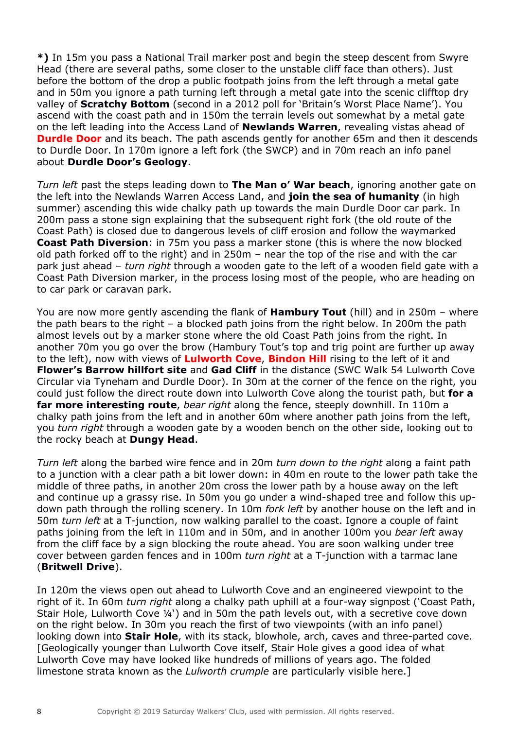**\*)** In 15m you pass a National Trail marker post and begin the steep descent from Swyre Head (there are several paths, some closer to the unstable cliff face than others). Just before the bottom of the drop a public footpath joins from the left through a metal gate and in 50m you ignore a path turning left through a metal gate into the scenic clifftop dry valley of **Scratchy Bottom** (second in a 2012 poll for 'Britain's Worst Place Name'). You ascend with the coast path and in 150m the terrain levels out somewhat by a metal gate on the left leading into the Access Land of **Newlands Warren**, revealing vistas ahead of **Durdle Door** and its beach. The path ascends gently for another 65m and then it descends to Durdle Door. In 170m ignore a left fork (the SWCP) and in 70m reach an info panel about **Durdle Door's Geology**.

*Turn left* past the steps leading down to **The Man o' War beach**, ignoring another gate on the left into the Newlands Warren Access Land, and **join the sea of humanity** (in high summer) ascending this wide chalky path up towards the main Durdle Door car park. In 200m pass a stone sign explaining that the subsequent right fork (the old route of the Coast Path) is closed due to dangerous levels of cliff erosion and follow the waymarked **Coast Path Diversion**: in 75m you pass a marker stone (this is where the now blocked old path forked off to the right) and in 250m – near the top of the rise and with the car park just ahead – *turn right* through a wooden gate to the left of a wooden field gate with a Coast Path Diversion marker, in the process losing most of the people, who are heading on to car park or caravan park.

You are now more gently ascending the flank of **Hambury Tout** (hill) and in 250m – where the path bears to the right – a blocked path joins from the right below. In 200m the path almost levels out by a marker stone where the old Coast Path joins from the right. In another 70m you go over the brow (Hambury Tout's top and trig point are further up away to the left), now with views of **Lulworth Cove**, **Bindon Hill** rising to the left of it and **Flower's Barrow hillfort site** and **Gad Cliff** in the distance (SWC Walk 54 Lulworth Cove Circular via Tyneham and Durdle Door). In 30m at the corner of the fence on the right, you could just follow the direct route down into Lulworth Cove along the tourist path, but **for a far more interesting route**, *bear right* along the fence, steeply downhill. In 110m a chalky path joins from the left and in another 60m where another path joins from the left, you *turn right* through a wooden gate by a wooden bench on the other side, looking out to the rocky beach at **Dungy Head**.

*Turn left* along the barbed wire fence and in 20m *turn down to the right* along a faint path to a junction with a clear path a bit lower down: in 40m en route to the lower path take the middle of three paths, in another 20m cross the lower path by a house away on the left and continue up a grassy rise. In 50m you go under a wind-shaped tree and follow this updown path through the rolling scenery. In 10m *fork left* by another house on the left and in 50m *turn left* at a T-junction, now walking parallel to the coast. Ignore a couple of faint paths joining from the left in 110m and in 50m, and in another 100m you *bear left* away from the cliff face by a sign blocking the route ahead. You are soon walking under tree cover between garden fences and in 100m *turn right* at a T-junction with a tarmac lane (**Britwell Drive**).

In 120m the views open out ahead to Lulworth Cove and an engineered viewpoint to the right of it. In 60m *turn right* along a chalky path uphill at a four-way signpost ('Coast Path, Stair Hole, Lulworth Cove ¼') and in 50m the path levels out, with a secretive cove down on the right below. In 30m you reach the first of two viewpoints (with an info panel) looking down into **Stair Hole**, with its stack, blowhole, arch, caves and three-parted cove. [Geologically younger than Lulworth Cove itself, Stair Hole gives a good idea of what Lulworth Cove may have looked like hundreds of millions of years ago. The folded limestone strata known as the *Lulworth crumple* are particularly visible here.]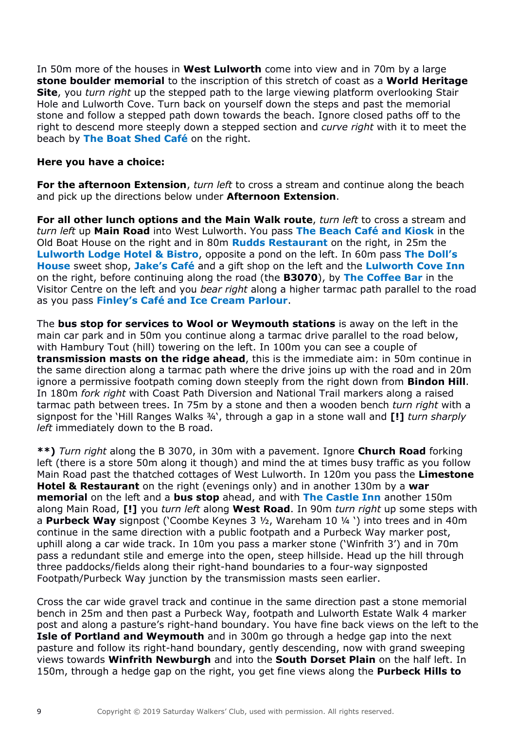In 50m more of the houses in **West Lulworth** come into view and in 70m by a large **stone boulder memorial** to the inscription of this stretch of coast as a **World Heritage Site**, you *turn right* up the stepped path to the large viewing platform overlooking Stair Hole and Lulworth Cove. Turn back on yourself down the steps and past the memorial stone and follow a stepped path down towards the beach. Ignore closed paths off to the right to descend more steeply down a stepped section and *curve right* with it to meet the beach by **The Boat Shed Café** on the right.

### **Here you have a choice:**

**For the afternoon Extension**, *turn left* to cross a stream and continue along the beach and pick up the directions below under **Afternoon Extension**.

**For all other lunch options and the Main Walk route**, *turn left* to cross a stream and *turn left* up **Main Road** into West Lulworth. You pass **The Beach Café and Kiosk** in the Old Boat House on the right and in 80m **Rudds Restaurant** on the right, in 25m the **Lulworth Lodge Hotel & Bistro**, opposite a pond on the left. In 60m pass **The Doll's House** sweet shop, **Jake's Café** and a gift shop on the left and the **Lulworth Cove Inn** on the right, before continuing along the road (the **B3070**), by **The Coffee Bar** in the Visitor Centre on the left and you *bear right* along a higher tarmac path parallel to the road as you pass **Finley's Café and Ice Cream Parlour**.

The **bus stop for services to Wool or Weymouth stations** is away on the left in the main car park and in 50m you continue along a tarmac drive parallel to the road below, with Hambury Tout (hill) towering on the left. In 100m you can see a couple of **transmission masts on the ridge ahead**, this is the immediate aim: in 50m continue in the same direction along a tarmac path where the drive joins up with the road and in 20m ignore a permissive footpath coming down steeply from the right down from **Bindon Hill**. In 180m *fork right* with Coast Path Diversion and National Trail markers along a raised tarmac path between trees. In 75m by a stone and then a wooden bench *turn right* with a signpost for the 'Hill Ranges Walks ¾', through a gap in a stone wall and **[!]** *turn sharply left* immediately down to the B road.

**\*\*)** *Turn right* along the B 3070, in 30m with a pavement. Ignore **Church Road** forking left (there is a store 50m along it though) and mind the at times busy traffic as you follow Main Road past the thatched cottages of West Lulworth. In 120m you pass the **Limestone Hotel & Restaurant** on the right (evenings only) and in another 130m by a **war memorial** on the left and a **bus stop** ahead, and with **The Castle Inn** another 150m along Main Road, **[!]** you *turn left* along **West Road**. In 90m *turn right* up some steps with a **Purbeck Way** signpost ('Coombe Keynes 3 ½, Wareham 10 ¼ ') into trees and in 40m continue in the same direction with a public footpath and a Purbeck Way marker post, uphill along a car wide track. In 10m you pass a marker stone ('Winfrith 3') and in 70m pass a redundant stile and emerge into the open, steep hillside. Head up the hill through three paddocks/fields along their right-hand boundaries to a four-way signposted Footpath/Purbeck Way junction by the transmission masts seen earlier.

Cross the car wide gravel track and continue in the same direction past a stone memorial bench in 25m and then past a Purbeck Way, footpath and Lulworth Estate Walk 4 marker post and along a pasture's right-hand boundary. You have fine back views on the left to the **Isle of Portland and Weymouth** and in 300m go through a hedge gap into the next pasture and follow its right-hand boundary, gently descending, now with grand sweeping views towards **Winfrith Newburgh** and into the **South Dorset Plain** on the half left. In 150m, through a hedge gap on the right, you get fine views along the **Purbeck Hills to**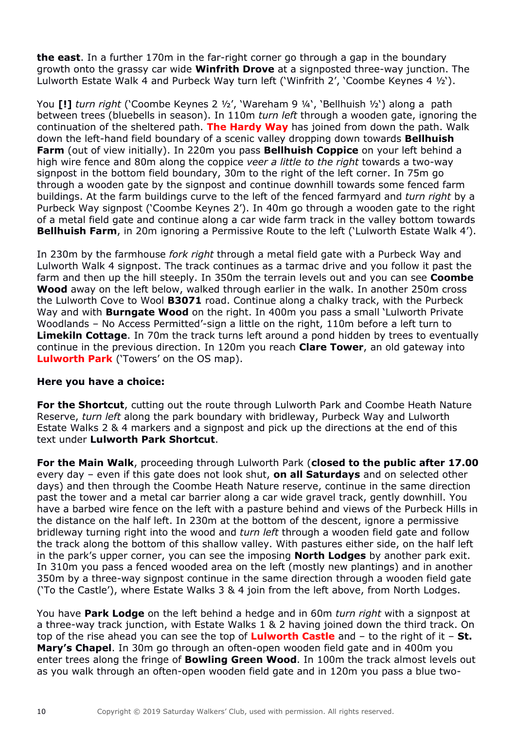**the east**. In a further 170m in the far-right corner go through a gap in the boundary growth onto the grassy car wide **Winfrith Drove** at a signposted three-way junction. The Lulworth Estate Walk 4 and Purbeck Way turn left ('Winfrith 2', 'Coombe Keynes 4 ½').

You **[!]** *turn right* ('Coombe Keynes 2 ½', 'Wareham 9 ¼', 'Bellhuish ½') along a path between trees (bluebells in season). In 110m *turn left* through a wooden gate, ignoring the continuation of the sheltered path. **The Hardy Way** has joined from down the path. Walk down the left-hand field boundary of a scenic valley dropping down towards **Bellhuish Farm** (out of view initially). In 220m you pass **Bellhuish Coppice** on your left behind a high wire fence and 80m along the coppice *veer a little to the right* towards a two-way signpost in the bottom field boundary, 30m to the right of the left corner. In 75m go through a wooden gate by the signpost and continue downhill towards some fenced farm buildings. At the farm buildings curve to the left of the fenced farmyard and *turn right* by a Purbeck Way signpost ('Coombe Keynes 2'). In 40m go through a wooden gate to the right of a metal field gate and continue along a car wide farm track in the valley bottom towards **Bellhuish Farm**, in 20m ignoring a Permissive Route to the left ('Lulworth Estate Walk 4').

In 230m by the farmhouse *fork right* through a metal field gate with a Purbeck Way and Lulworth Walk 4 signpost. The track continues as a tarmac drive and you follow it past the farm and then up the hill steeply. In 350m the terrain levels out and you can see **Coombe Wood** away on the left below, walked through earlier in the walk. In another 250m cross the Lulworth Cove to Wool **B3071** road. Continue along a chalky track, with the Purbeck Way and with **Burngate Wood** on the right. In 400m you pass a small 'Lulworth Private Woodlands – No Access Permitted'-sign a little on the right, 110m before a left turn to **Limekiln Cottage**. In 70m the track turns left around a pond hidden by trees to eventually continue in the previous direction. In 120m you reach **Clare Tower**, an old gateway into **Lulworth Park** ('Towers' on the OS map).

# **Here you have a choice:**

**For the Shortcut**, cutting out the route through Lulworth Park and Coombe Heath Nature Reserve, *turn left* along the park boundary with bridleway, Purbeck Way and Lulworth Estate Walks 2 & 4 markers and a signpost and pick up the directions at the end of this text under **Lulworth Park Shortcut**.

**For the Main Walk**, proceeding through Lulworth Park (**closed to the public after 17.00** every day – even if this gate does not look shut, **on all Saturdays** and on selected other days) and then through the Coombe Heath Nature reserve, continue in the same direction past the tower and a metal car barrier along a car wide gravel track, gently downhill. You have a barbed wire fence on the left with a pasture behind and views of the Purbeck Hills in the distance on the half left. In 230m at the bottom of the descent, ignore a permissive bridleway turning right into the wood and *turn left* through a wooden field gate and follow the track along the bottom of this shallow valley. With pastures either side, on the half left in the park's upper corner, you can see the imposing **North Lodges** by another park exit. In 310m you pass a fenced wooded area on the left (mostly new plantings) and in another 350m by a three-way signpost continue in the same direction through a wooden field gate ('To the Castle'), where Estate Walks 3 & 4 join from the left above, from North Lodges.

You have **Park Lodge** on the left behind a hedge and in 60m *turn right* with a signpost at a three-way track junction, with Estate Walks 1 & 2 having joined down the third track. On top of the rise ahead you can see the top of **Lulworth Castle** and – to the right of it – **St. Mary's Chapel**. In 30m go through an often-open wooden field gate and in 400m you enter trees along the fringe of **Bowling Green Wood**. In 100m the track almost levels out as you walk through an often-open wooden field gate and in 120m you pass a blue two-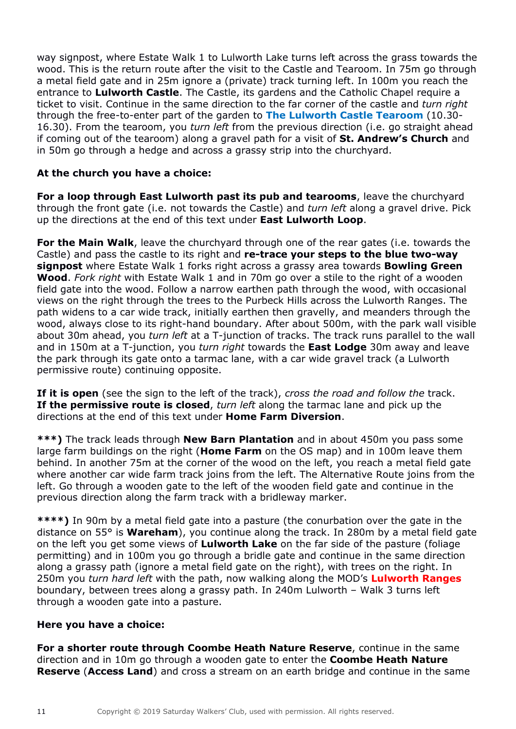way signpost, where Estate Walk 1 to Lulworth Lake turns left across the grass towards the wood. This is the return route after the visit to the Castle and Tearoom. In 75m go through a metal field gate and in 25m ignore a (private) track turning left. In 100m you reach the entrance to **Lulworth Castle**. The Castle, its gardens and the Catholic Chapel require a ticket to visit. Continue in the same direction to the far corner of the castle and *turn right* through the free-to-enter part of the garden to **The Lulworth Castle Tearoom** (10.30- 16.30). From the tearoom, you *turn left* from the previous direction (i.e. go straight ahead if coming out of the tearoom) along a gravel path for a visit of **St. Andrew's Church** and in 50m go through a hedge and across a grassy strip into the churchyard.

# **At the church you have a choice:**

**For a loop through East Lulworth past its pub and tearooms**, leave the churchyard through the front gate (i.e. not towards the Castle) and *turn left* along a gravel drive. Pick up the directions at the end of this text under **East Lulworth Loop**.

**For the Main Walk**, leave the churchyard through one of the rear gates (i.e. towards the Castle) and pass the castle to its right and **re-trace your steps to the blue two-way signpost** where Estate Walk 1 forks right across a grassy area towards **Bowling Green Wood**. *Fork right* with Estate Walk 1 and in 70m go over a stile to the right of a wooden field gate into the wood. Follow a narrow earthen path through the wood, with occasional views on the right through the trees to the Purbeck Hills across the Lulworth Ranges. The path widens to a car wide track, initially earthen then gravelly, and meanders through the wood, always close to its right-hand boundary. After about 500m, with the park wall visible about 30m ahead, you *turn left* at a T-junction of tracks. The track runs parallel to the wall and in 150m at a T-junction, you *turn right* towards the **East Lodge** 30m away and leave the park through its gate onto a tarmac lane, with a car wide gravel track (a Lulworth permissive route) continuing opposite.

**If it is open** (see the sign to the left of the track), *cross the road and follow the* track. **If the permissive route is closed**, *turn left* along the tarmac lane and pick up the directions at the end of this text under **Home Farm Diversion**.

**\*\*\*)** The track leads through **New Barn Plantation** and in about 450m you pass some large farm buildings on the right (**Home Farm** on the OS map) and in 100m leave them behind. In another 75m at the corner of the wood on the left, you reach a metal field gate where another car wide farm track joins from the left. The Alternative Route joins from the left. Go through a wooden gate to the left of the wooden field gate and continue in the previous direction along the farm track with a bridleway marker.

**\*\*\*\*)** In 90m by a metal field gate into a pasture (the conurbation over the gate in the distance on 55° is **Wareham**), you continue along the track. In 280m by a metal field gate on the left you get some views of **Lulworth Lake** on the far side of the pasture (foliage permitting) and in 100m you go through a bridle gate and continue in the same direction along a grassy path (ignore a metal field gate on the right), with trees on the right. In 250m you *turn hard left* with the path, now walking along the MOD's **Lulworth Ranges** boundary, between trees along a grassy path. In 240m Lulworth – Walk 3 turns left through a wooden gate into a pasture.

# **Here you have a choice:**

**For a shorter route through Coombe Heath Nature Reserve**, continue in the same direction and in 10m go through a wooden gate to enter the **Coombe Heath Nature Reserve** (**Access Land**) and cross a stream on an earth bridge and continue in the same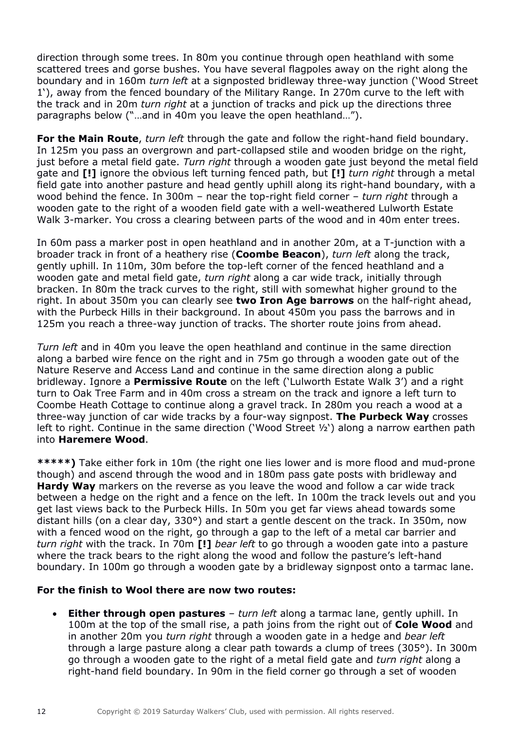direction through some trees. In 80m you continue through open heathland with some scattered trees and gorse bushes. You have several flagpoles away on the right along the boundary and in 160m *turn left* at a signposted bridleway three-way junction ('Wood Street 1'), away from the fenced boundary of the Military Range. In 270m curve to the left with the track and in 20m *turn right* at a junction of tracks and pick up the directions three paragraphs below ("…and in 40m you leave the open heathland…").

**For the Main Route**, *turn left* through the gate and follow the right-hand field boundary. In 125m you pass an overgrown and part-collapsed stile and wooden bridge on the right, just before a metal field gate. *Turn right* through a wooden gate just beyond the metal field gate and **[!]** ignore the obvious left turning fenced path, but **[!]** *turn right* through a metal field gate into another pasture and head gently uphill along its right-hand boundary, with a wood behind the fence. In 300m – near the top-right field corner – *turn right* through a wooden gate to the right of a wooden field gate with a well-weathered Lulworth Estate Walk 3-marker. You cross a clearing between parts of the wood and in 40m enter trees.

In 60m pass a marker post in open heathland and in another 20m, at a T-junction with a broader track in front of a heathery rise (**Coombe Beacon**), *turn left* along the track, gently uphill. In 110m, 30m before the top-left corner of the fenced heathland and a wooden gate and metal field gate, *turn right* along a car wide track, initially through bracken. In 80m the track curves to the right, still with somewhat higher ground to the right. In about 350m you can clearly see **two Iron Age barrows** on the half-right ahead, with the Purbeck Hills in their background. In about 450m you pass the barrows and in 125m you reach a three-way junction of tracks. The shorter route joins from ahead.

*Turn left* and in 40m you leave the open heathland and continue in the same direction along a barbed wire fence on the right and in 75m go through a wooden gate out of the Nature Reserve and Access Land and continue in the same direction along a public bridleway. Ignore a **Permissive Route** on the left ('Lulworth Estate Walk 3') and a right turn to Oak Tree Farm and in 40m cross a stream on the track and ignore a left turn to Coombe Heath Cottage to continue along a gravel track. In 280m you reach a wood at a three-way junction of car wide tracks by a four-way signpost. **The Purbeck Way** crosses left to right. Continue in the same direction ('Wood Street ½') along a narrow earthen path into **Haremere Wood**.

**\*\*\*\*\*)** Take either fork in 10m (the right one lies lower and is more flood and mud-prone though) and ascend through the wood and in 180m pass gate posts with bridleway and **Hardy Way** markers on the reverse as you leave the wood and follow a car wide track between a hedge on the right and a fence on the left. In 100m the track levels out and you get last views back to the Purbeck Hills. In 50m you get far views ahead towards some distant hills (on a clear day, 330°) and start a gentle descent on the track. In 350m, now with a fenced wood on the right, go through a gap to the left of a metal car barrier and *turn right* with the track. In 70m **[!]** *bear left* to go through a wooden gate into a pasture where the track bears to the right along the wood and follow the pasture's left-hand boundary. In 100m go through a wooden gate by a bridleway signpost onto a tarmac lane.

### **For the finish to Wool there are now two routes:**

• **Either through open pastures** – *turn left* along a tarmac lane, gently uphill. In 100m at the top of the small rise, a path joins from the right out of **Cole Wood** and in another 20m you *turn right* through a wooden gate in a hedge and *bear left* through a large pasture along a clear path towards a clump of trees (305°). In 300m go through a wooden gate to the right of a metal field gate and *turn right* along a right-hand field boundary. In 90m in the field corner go through a set of wooden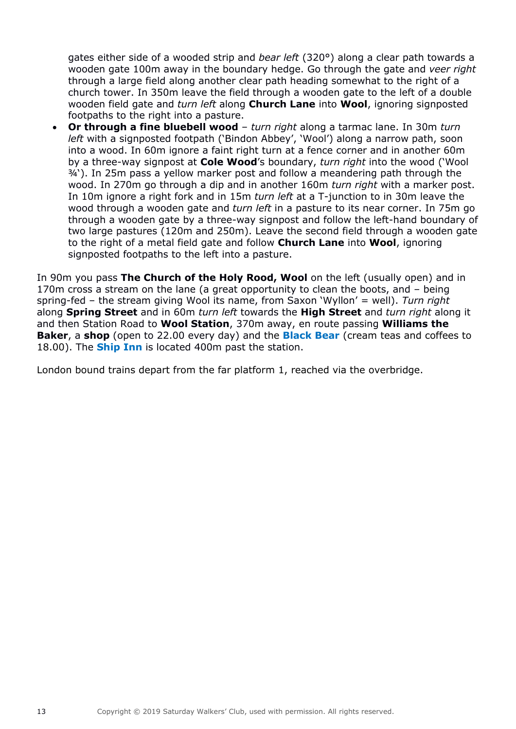gates either side of a wooded strip and *bear left* (320°) along a clear path towards a wooden gate 100m away in the boundary hedge. Go through the gate and *veer right* through a large field along another clear path heading somewhat to the right of a church tower. In 350m leave the field through a wooden gate to the left of a double wooden field gate and *turn left* along **Church Lane** into **Wool**, ignoring signposted footpaths to the right into a pasture.

• **Or through a fine bluebell wood** – *turn right* along a tarmac lane. In 30m *turn left* with a signposted footpath ('Bindon Abbey', 'Wool') along a narrow path, soon into a wood. In 60m ignore a faint right turn at a fence corner and in another 60m by a three-way signpost at **Cole Wood**'s boundary, *turn right* into the wood ('Wool ¾'). In 25m pass a yellow marker post and follow a meandering path through the wood. In 270m go through a dip and in another 160m *turn right* with a marker post. In 10m ignore a right fork and in 15m *turn left* at a T-junction to in 30m leave the wood through a wooden gate and *turn left* in a pasture to its near corner. In 75m go through a wooden gate by a three-way signpost and follow the left-hand boundary of two large pastures (120m and 250m). Leave the second field through a wooden gate to the right of a metal field gate and follow **Church Lane** into **Wool**, ignoring signposted footpaths to the left into a pasture.

In 90m you pass **The Church of the Holy Rood, Wool** on the left (usually open) and in 170m cross a stream on the lane (a great opportunity to clean the boots, and – being spring-fed – the stream giving Wool its name, from Saxon 'Wyllon' = well). *Turn right* along **Spring Street** and in 60m *turn left* towards the **High Street** and *turn right* along it and then Station Road to **Wool Station**, 370m away, en route passing **Williams the Baker**, a **shop** (open to 22.00 every day) and the **Black Bear** (cream teas and coffees to 18.00). The **Ship Inn** is located 400m past the station.

London bound trains depart from the far platform 1, reached via the overbridge.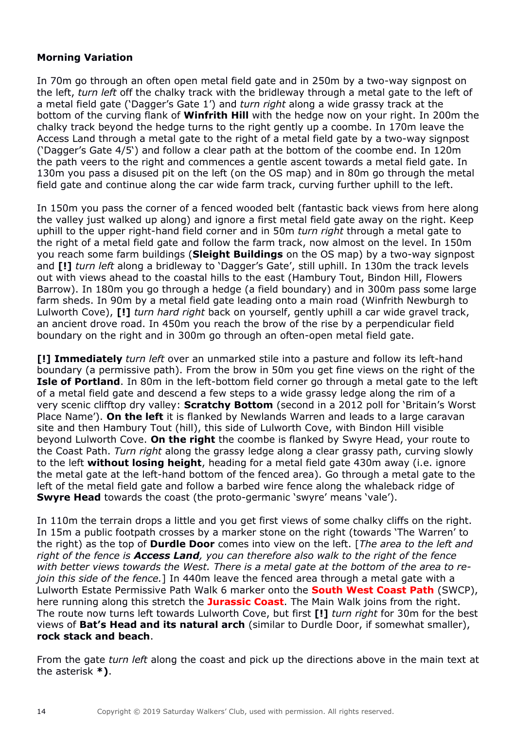# **Morning Variation**

In 70m go through an often open metal field gate and in 250m by a two-way signpost on the left, *turn left* off the chalky track with the bridleway through a metal gate to the left of a metal field gate ('Dagger's Gate 1') and *turn right* along a wide grassy track at the bottom of the curving flank of **Winfrith Hill** with the hedge now on your right. In 200m the chalky track beyond the hedge turns to the right gently up a coombe. In 170m leave the Access Land through a metal gate to the right of a metal field gate by a two-way signpost ('Dagger's Gate 4/5') and follow a clear path at the bottom of the coombe end. In 120m the path veers to the right and commences a gentle ascent towards a metal field gate. In 130m you pass a disused pit on the left (on the OS map) and in 80m go through the metal field gate and continue along the car wide farm track, curving further uphill to the left.

In 150m you pass the corner of a fenced wooded belt (fantastic back views from here along the valley just walked up along) and ignore a first metal field gate away on the right. Keep uphill to the upper right-hand field corner and in 50m *turn right* through a metal gate to the right of a metal field gate and follow the farm track, now almost on the level. In 150m you reach some farm buildings (**Sleight Buildings** on the OS map) by a two-way signpost and **[!]** *turn left* along a bridleway to 'Dagger's Gate', still uphill. In 130m the track levels out with views ahead to the coastal hills to the east (Hambury Tout, Bindon Hill, Flowers Barrow). In 180m you go through a hedge (a field boundary) and in 300m pass some large farm sheds. In 90m by a metal field gate leading onto a main road (Winfrith Newburgh to Lulworth Cove), **[!]** *turn hard right* back on yourself, gently uphill a car wide gravel track, an ancient drove road. In 450m you reach the brow of the rise by a perpendicular field boundary on the right and in 300m go through an often-open metal field gate.

**[!] Immediately** *turn left* over an unmarked stile into a pasture and follow its left-hand boundary (a permissive path). From the brow in 50m you get fine views on the right of the **Isle of Portland**. In 80m in the left-bottom field corner go through a metal gate to the left of a metal field gate and descend a few steps to a wide grassy ledge along the rim of a very scenic clifftop dry valley: **Scratchy Bottom** (second in a 2012 poll for 'Britain's Worst Place Name'). **On the left** it is flanked by Newlands Warren and leads to a large caravan site and then Hambury Tout (hill), this side of Lulworth Cove, with Bindon Hill visible beyond Lulworth Cove. **On the right** the coombe is flanked by Swyre Head, your route to the Coast Path. *Turn right* along the grassy ledge along a clear grassy path, curving slowly to the left **without losing height**, heading for a metal field gate 430m away (i.e. ignore the metal gate at the left-hand bottom of the fenced area). Go through a metal gate to the left of the metal field gate and follow a barbed wire fence along the whaleback ridge of **Swyre Head** towards the coast (the proto-germanic 'swyre' means 'vale').

In 110m the terrain drops a little and you get first views of some chalky cliffs on the right. In 15m a public footpath crosses by a marker stone on the right (towards 'The Warren' to the right) as the top of **Durdle Door** comes into view on the left. [*The area to the left and right of the fence is Access Land, you can therefore also walk to the right of the fence with better views towards the West. There is a metal gate at the bottom of the area to rejoin this side of the fence.*] In 440m leave the fenced area through a metal gate with a Lulworth Estate Permissive Path Walk 6 marker onto the **South West Coast Path** (SWCP), here running along this stretch the **Jurassic Coast**. The Main Walk joins from the right. The route now turns left towards Lulworth Cove, but first **[!]** *turn right* for 30m for the best views of **Bat's Head and its natural arch** (similar to Durdle Door, if somewhat smaller), **rock stack and beach**.

From the gate *turn left* along the coast and pick up the directions above in the main text at the asterisk **\*)**.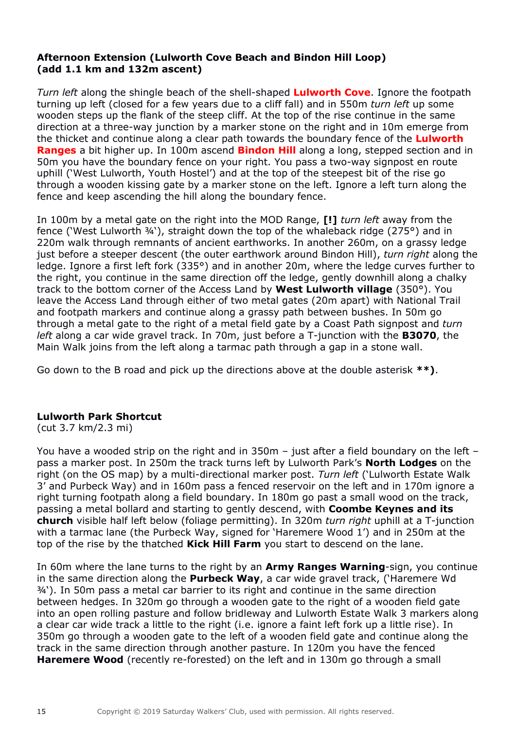# **Afternoon Extension (Lulworth Cove Beach and Bindon Hill Loop) (add 1.1 km and 132m ascent)**

*Turn left* along the shingle beach of the shell-shaped **Lulworth Cove**. Ignore the footpath turning up left (closed for a few years due to a cliff fall) and in 550m *turn left* up some wooden steps up the flank of the steep cliff. At the top of the rise continue in the same direction at a three-way junction by a marker stone on the right and in 10m emerge from the thicket and continue along a clear path towards the boundary fence of the **Lulworth Ranges** a bit higher up. In 100m ascend **Bindon Hill** along a long, stepped section and in 50m you have the boundary fence on your right. You pass a two-way signpost en route uphill ('West Lulworth, Youth Hostel') and at the top of the steepest bit of the rise go through a wooden kissing gate by a marker stone on the left. Ignore a left turn along the fence and keep ascending the hill along the boundary fence.

In 100m by a metal gate on the right into the MOD Range, **[!]** *turn left* away from the fence ('West Lulworth ¾'), straight down the top of the whaleback ridge (275°) and in 220m walk through remnants of ancient earthworks. In another 260m, on a grassy ledge just before a steeper descent (the outer earthwork around Bindon Hill), *turn right* along the ledge. Ignore a first left fork (335°) and in another 20m, where the ledge curves further to the right, you continue in the same direction off the ledge, gently downhill along a chalky track to the bottom corner of the Access Land by **West Lulworth village** (350°). You leave the Access Land through either of two metal gates (20m apart) with National Trail and footpath markers and continue along a grassy path between bushes. In 50m go through a metal gate to the right of a metal field gate by a Coast Path signpost and *turn left* along a car wide gravel track. In 70m, just before a T-junction with the **B3070**, the Main Walk joins from the left along a tarmac path through a gap in a stone wall.

Go down to the B road and pick up the directions above at the double asterisk **\*\*)**.

# **Lulworth Park Shortcut**

(cut 3.7 km/2.3 mi)

You have a wooded strip on the right and in 350m – just after a field boundary on the left – pass a marker post. In 250m the track turns left by Lulworth Park's **North Lodges** on the right (on the OS map) by a multi-directional marker post. *Turn left* ('Lulworth Estate Walk 3' and Purbeck Way) and in 160m pass a fenced reservoir on the left and in 170m ignore a right turning footpath along a field boundary. In 180m go past a small wood on the track, passing a metal bollard and starting to gently descend, with **Coombe Keynes and its church** visible half left below (foliage permitting). In 320m *turn right* uphill at a T-junction with a tarmac lane (the Purbeck Way, signed for 'Haremere Wood 1') and in 250m at the top of the rise by the thatched **Kick Hill Farm** you start to descend on the lane.

In 60m where the lane turns to the right by an **Army Ranges Warning**-sign, you continue in the same direction along the **Purbeck Way**, a car wide gravel track, ('Haremere Wd ¾'). In 50m pass a metal car barrier to its right and continue in the same direction between hedges. In 320m go through a wooden gate to the right of a wooden field gate into an open rolling pasture and follow bridleway and Lulworth Estate Walk 3 markers along a clear car wide track a little to the right (i.e. ignore a faint left fork up a little rise). In 350m go through a wooden gate to the left of a wooden field gate and continue along the track in the same direction through another pasture. In 120m you have the fenced **Haremere Wood** (recently re-forested) on the left and in 130m go through a small